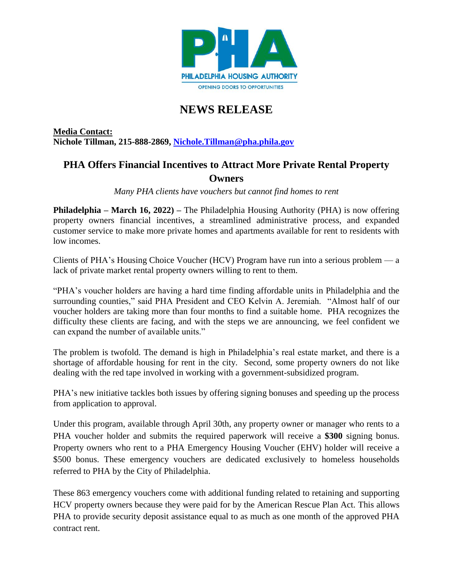

## **NEWS RELEASE**

**Media Contact: Nichole Tillman, 215-888-2869, [Nichole.Tillman@pha.phila.gov](mailto:Nichole.Tillman@pha.phila.gov)**

## **PHA Offers Financial Incentives to Attract More Private Rental Property Owners**

*Many PHA clients have vouchers but cannot find homes to rent*

**Philadelphia – March 16, 2022) –** The Philadelphia Housing Authority (PHA) is now offering property owners financial incentives, a streamlined administrative process, and expanded customer service to make more private homes and apartments available for rent to residents with low incomes.

Clients of PHA's Housing Choice Voucher (HCV) Program have run into a serious problem — a lack of private market rental property owners willing to rent to them.

"PHA's voucher holders are having a hard time finding affordable units in Philadelphia and the surrounding counties," said PHA President and CEO Kelvin A. Jeremiah. "Almost half of our voucher holders are taking more than four months to find a suitable home. PHA recognizes the difficulty these clients are facing, and with the steps we are announcing, we feel confident we can expand the number of available units."

The problem is twofold. The demand is high in Philadelphia's real estate market, and there is a shortage of affordable housing for rent in the city. Second, some property owners do not like dealing with the red tape involved in working with a government-subsidized program.

PHA's new initiative tackles both issues by offering signing bonuses and speeding up the process from application to approval.

Under this program, available through April 30th, any property owner or manager who rents to a PHA voucher holder and submits the required paperwork will receive a **\$300** signing bonus. Property owners who rent to a PHA Emergency Housing Voucher (EHV) holder will receive a \$500 bonus. These emergency vouchers are dedicated exclusively to homeless households referred to PHA by the City of Philadelphia.

These 863 emergency vouchers come with additional funding related to retaining and supporting HCV property owners because they were paid for by the American Rescue Plan Act. This allows PHA to provide security deposit assistance equal to as much as one month of the approved PHA contract rent.